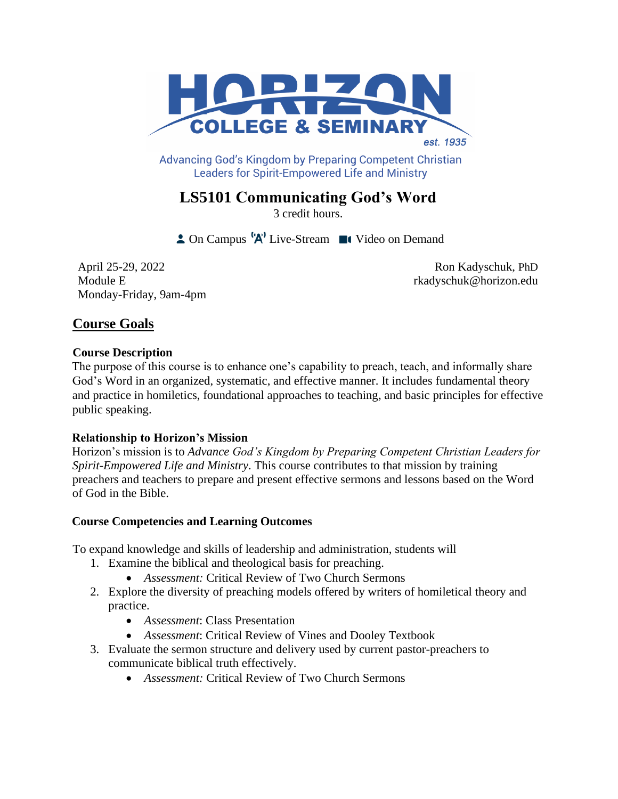

Advancing God's Kingdom by Preparing Competent Christian **Leaders for Spirit-Empowered Life and Ministry** 

# **LS5101 Communicating God's Word**

3 credit hours.

 $\triangle$  On Campus  $^1A^1$  Live-Stream  $\blacksquare$  Video on Demand

April 25-29, 2022 Module E Monday-Friday, 9am-4pm

Ron Kadyschuk, PhD rkadyschuk@horizon.edu

# **Course Goals**

### **Course Description**

The purpose of this course is to enhance one's capability to preach, teach, and informally share God's Word in an organized, systematic, and effective manner. It includes fundamental theory and practice in homiletics, foundational approaches to teaching, and basic principles for effective public speaking.

# **Relationship to Horizon's Mission**

Horizon's mission is to *Advance God's Kingdom by Preparing Competent Christian Leaders for Spirit-Empowered Life and Ministry*. This course contributes to that mission by training preachers and teachers to prepare and present effective sermons and lessons based on the Word of God in the Bible.

# **Course Competencies and Learning Outcomes**

To expand knowledge and skills of leadership and administration, students will

- 1. Examine the biblical and theological basis for preaching.
	- *Assessment:* Critical Review of Two Church Sermons
- 2. Explore the diversity of preaching models offered by writers of homiletical theory and practice.
	- *Assessment*: Class Presentation
	- *Assessment*: Critical Review of Vines and Dooley Textbook
- 3. Evaluate the sermon structure and delivery used by current pastor-preachers to communicate biblical truth effectively.
	- *Assessment:* Critical Review of Two Church Sermons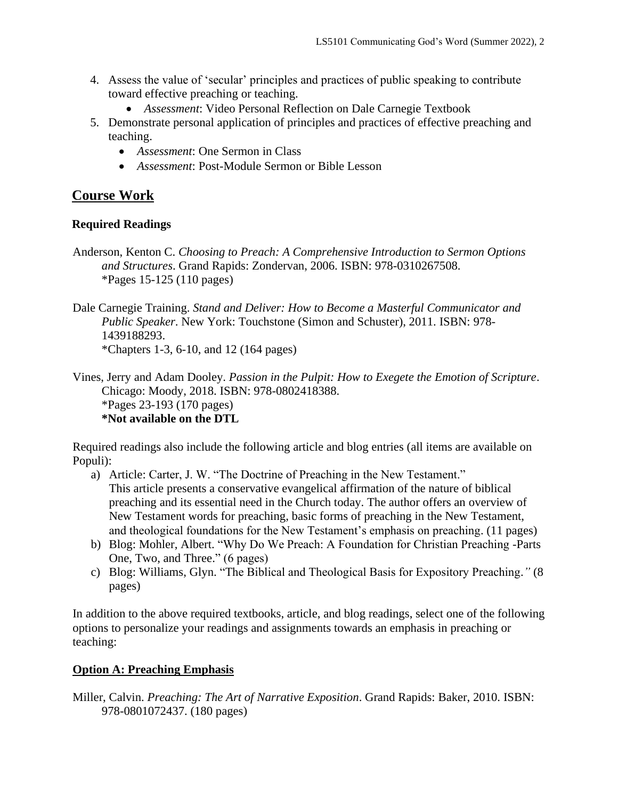- 4. Assess the value of 'secular' principles and practices of public speaking to contribute toward effective preaching or teaching.
	- *Assessment*: Video Personal Reflection on Dale Carnegie Textbook
- 5. Demonstrate personal application of principles and practices of effective preaching and teaching.
	- *Assessment*: One Sermon in Class
	- *Assessment*: Post-Module Sermon or Bible Lesson

# **Course Work**

### **Required Readings**

Anderson, Kenton C. *Choosing to Preach: A Comprehensive Introduction to Sermon Options and Structures*. Grand Rapids: Zondervan, 2006. ISBN: 978-0310267508. \*Pages 15-125 (110 pages)

Dale Carnegie Training. *Stand and Deliver: How to Become a Masterful Communicator and Public Speaker*. New York: Touchstone (Simon and Schuster), 2011. ISBN: 978- 1439188293. \*Chapters 1-3, 6-10, and 12 (164 pages)

Vines, Jerry and Adam Dooley. *Passion in the Pulpit: How to Exegete the Emotion of Scripture*. Chicago: Moody, 2018. ISBN: 978-0802418388. \*Pages 23-193 (170 pages) **\*Not available on the DTL**

Required readings also include the following article and blog entries (all items are available on Populi):

- a) Article: Carter, J. W. "The Doctrine of Preaching in the New Testament." This article presents a conservative evangelical affirmation of the nature of biblical preaching and its essential need in the Church today. The author offers an overview of New Testament words for preaching, basic forms of preaching in the New Testament, and theological foundations for the New Testament's emphasis on preaching. (11 pages)
- b) Blog: Mohler, Albert. "Why Do We Preach: A Foundation for Christian Preaching -Parts One, Two, and Three." (6 pages)
- c) Blog: Williams, Glyn. "The Biblical and Theological Basis for Expository Preaching.*"* (8 pages)

In addition to the above required textbooks, article, and blog readings, select one of the following options to personalize your readings and assignments towards an emphasis in preaching or teaching:

# **Option A: Preaching Emphasis**

Miller, Calvin. *Preaching: The Art of Narrative Exposition*. Grand Rapids: Baker, 2010. ISBN: 978-0801072437. (180 pages)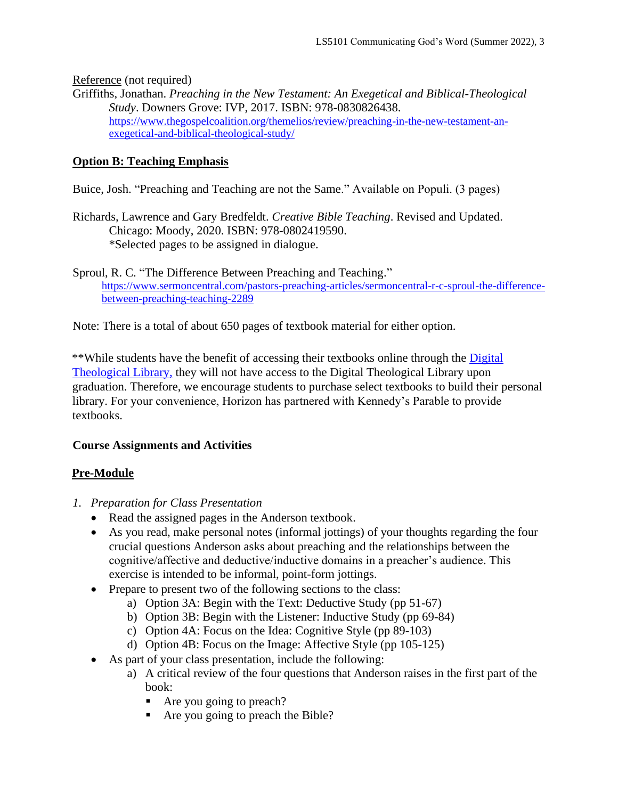Reference (not required)

Griffiths, Jonathan. *Preaching in the New Testament: An Exegetical and Biblical-Theological Study*. Downers Grove: IVP, 2017. ISBN: 978-0830826438. [https://www.thegospelcoalition.org/themelios/review/preaching-in-the-new-testament-an](https://www.thegospelcoalition.org/themelios/review/preaching-in-the-new-testament-an-exegetical-and-biblical-theological-study/)[exegetical-and-biblical-theological-study/](https://www.thegospelcoalition.org/themelios/review/preaching-in-the-new-testament-an-exegetical-and-biblical-theological-study/)

### **Option B: Teaching Emphasis**

Buice, Josh. "Preaching and Teaching are not the Same." Available on Populi. (3 pages)

Richards, Lawrence and Gary Bredfeldt. *Creative Bible Teaching*. Revised and Updated. Chicago: Moody, 2020. ISBN: 978-0802419590. \*Selected pages to be assigned in dialogue.

Sproul, R. C. "The Difference Between Preaching and Teaching." [https://www.sermoncentral.com/pastors-preaching-articles/sermoncentral-r-c-sproul-the-difference](https://www.sermoncentral.com/pastors-preaching-articles/sermoncentral-r-c-sproul-the-difference-between-preaching-teaching-2289)[between-preaching-teaching-2289](https://www.sermoncentral.com/pastors-preaching-articles/sermoncentral-r-c-sproul-the-difference-between-preaching-teaching-2289)

Note: There is a total of about 650 pages of textbook material for either option.

\*\*While students have the benefit of accessing their textbooks online through the [Digital](https://saskatoon.mlasolutions.com/m5/catalog/(S(3h21syce2tpjqj0wea2rbnzr))/Default.aspx?installation=HRZN)  [Theological Library,](https://saskatoon.mlasolutions.com/m5/catalog/(S(3h21syce2tpjqj0wea2rbnzr))/Default.aspx?installation=HRZN) they will not have access to the Digital Theological Library upon graduation. Therefore, we encourage students to purchase select textbooks to build their personal library. For your convenience, Horizon has partnered with Kennedy's Parable to provide textbooks.

# **Course Assignments and Activities**

### **Pre-Module**

- *1. Preparation for Class Presentation*
	- Read the assigned pages in the Anderson textbook.
	- As you read, make personal notes (informal jottings) of your thoughts regarding the four crucial questions Anderson asks about preaching and the relationships between the cognitive/affective and deductive/inductive domains in a preacher's audience. This exercise is intended to be informal, point-form jottings.
	- Prepare to present two of the following sections to the class:
		- a) Option 3A: Begin with the Text: Deductive Study (pp 51-67)
		- b) Option 3B: Begin with the Listener: Inductive Study (pp 69-84)
		- c) Option 4A: Focus on the Idea: Cognitive Style (pp 89-103)
		- d) Option 4B: Focus on the Image: Affective Style (pp 105-125)
	- As part of your class presentation, include the following:
		- a) A critical review of the four questions that Anderson raises in the first part of the book:
			- Are you going to preach?
			- Are you going to preach the Bible?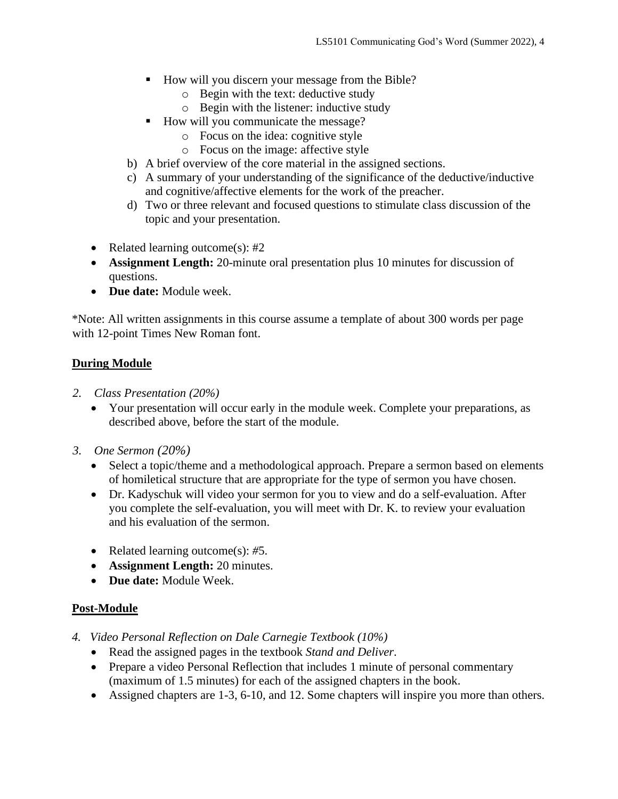- How will you discern your message from the Bible?
	- o Begin with the text: deductive study
	- o Begin with the listener: inductive study
- How will you communicate the message?
	- o Focus on the idea: cognitive style
	- o Focus on the image: affective style
- b) A brief overview of the core material in the assigned sections.
- c) A summary of your understanding of the significance of the deductive/inductive and cognitive/affective elements for the work of the preacher.
- d) Two or three relevant and focused questions to stimulate class discussion of the topic and your presentation.
- Related learning outcome(s): #2
- **Assignment Length:** 20-minute oral presentation plus 10 minutes for discussion of questions.
- **Due date:** Module week.

\*Note: All written assignments in this course assume a template of about 300 words per page with 12-point Times New Roman font.

# **During Module**

- *2. Class Presentation (20%)*
	- Your presentation will occur early in the module week. Complete your preparations, as described above, before the start of the module.
- *3. One Sermon (20%)*
	- Select a topic/theme and a methodological approach. Prepare a sermon based on elements of homiletical structure that are appropriate for the type of sermon you have chosen.
	- Dr. Kadyschuk will video your sermon for you to view and do a self-evaluation. After you complete the self-evaluation, you will meet with Dr. K. to review your evaluation and his evaluation of the sermon.
	- Related learning outcome(s): *#*5.
	- **Assignment Length:** 20 minutes.
	- **Due date:** Module Week.

# **Post-Module**

- *4. Video Personal Reflection on Dale Carnegie Textbook (10%)*
	- Read the assigned pages in the textbook *Stand and Deliver*.
	- Prepare a video Personal Reflection that includes 1 minute of personal commentary (maximum of 1.5 minutes) for each of the assigned chapters in the book.
	- Assigned chapters are 1-3, 6-10, and 12. Some chapters will inspire you more than others.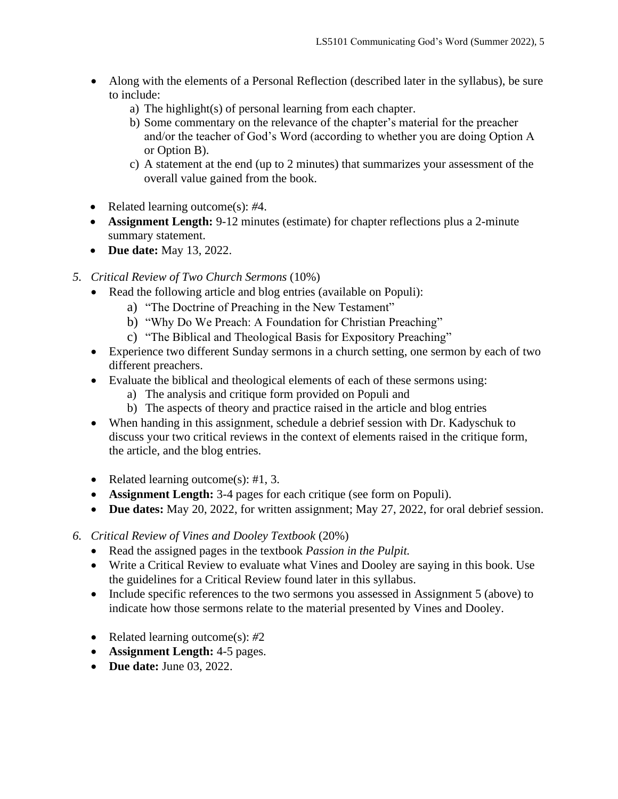- Along with the elements of a Personal Reflection (described later in the syllabus), be sure to include:
	- a) The highlight(s) of personal learning from each chapter.
	- b) Some commentary on the relevance of the chapter's material for the preacher and/or the teacher of God's Word (according to whether you are doing Option A or Option B).
	- c) A statement at the end (up to 2 minutes) that summarizes your assessment of the overall value gained from the book.
- Related learning outcome(s): *#*4.
- **Assignment Length:** 9-12 minutes (estimate) for chapter reflections plus a 2-minute summary statement.
- **Due date:** May 13, 2022.
- *5. Critical Review of Two Church Sermons* (10%)
	- Read the following article and blog entries (available on Populi):
		- a) "The Doctrine of Preaching in the New Testament"
		- b) "Why Do We Preach: A Foundation for Christian Preaching"
		- c) "The Biblical and Theological Basis for Expository Preaching"
	- Experience two different Sunday sermons in a church setting, one sermon by each of two different preachers.
	- Evaluate the biblical and theological elements of each of these sermons using:
		- a) The analysis and critique form provided on Populi and
		- b) The aspects of theory and practice raised in the article and blog entries
	- When handing in this assignment, schedule a debrief session with Dr. Kadyschuk to discuss your two critical reviews in the context of elements raised in the critique form, the article, and the blog entries.
	- Related learning outcome(s): #1, 3.
	- **Assignment Length:** 3-4 pages for each critique (see form on Populi).
	- **Due dates:** May 20, 2022, for written assignment; May 27, 2022, for oral debrief session.
- *6. Critical Review of Vines and Dooley Textbook* (20%)
	- Read the assigned pages in the textbook *Passion in the Pulpit.*
	- Write a Critical Review to evaluate what Vines and Dooley are saying in this book. Use the guidelines for a Critical Review found later in this syllabus.
	- Include specific references to the two sermons you assessed in Assignment 5 (above) to indicate how those sermons relate to the material presented by Vines and Dooley.
	- Related learning outcome(s): *#*2
	- **Assignment Length:** 4-5 pages.
	- **Due date:** June 03, 2022.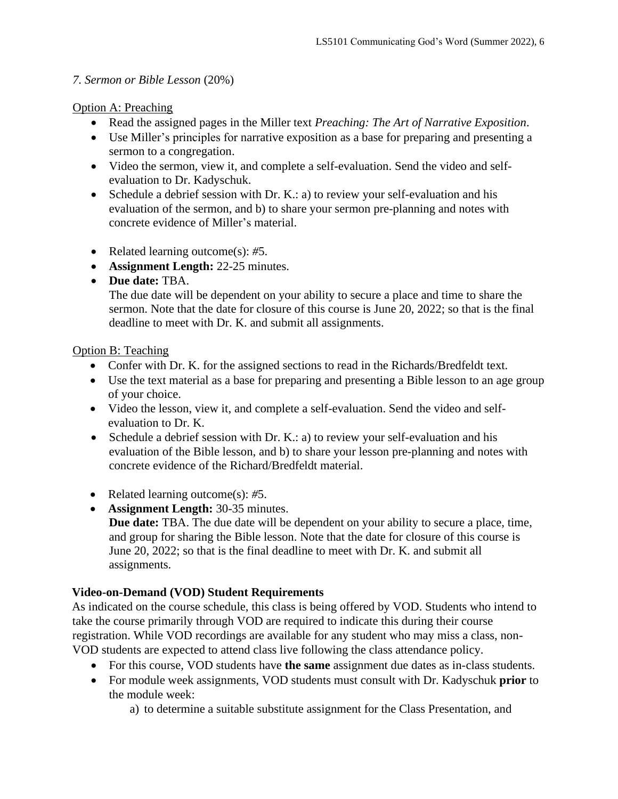# *7. Sermon or Bible Lesson* (20%)

# Option A: Preaching

- Read the assigned pages in the Miller text *Preaching: The Art of Narrative Exposition*.
- Use Miller's principles for narrative exposition as a base for preparing and presenting a sermon to a congregation.
- Video the sermon, view it, and complete a self-evaluation. Send the video and selfevaluation to Dr. Kadyschuk.
- Schedule a debrief session with Dr. K.: a) to review your self-evaluation and his evaluation of the sermon, and b) to share your sermon pre-planning and notes with concrete evidence of Miller's material.
- Related learning outcome(s): *#*5.
- **Assignment Length:** 22-25 minutes.
- **Due date:** TBA.

The due date will be dependent on your ability to secure a place and time to share the sermon. Note that the date for closure of this course is June 20, 2022; so that is the final deadline to meet with Dr. K. and submit all assignments.

# Option B: Teaching

- Confer with Dr. K. for the assigned sections to read in the Richards/Bredfeldt text.
- Use the text material as a base for preparing and presenting a Bible lesson to an age group of your choice.
- Video the lesson, view it, and complete a self-evaluation. Send the video and selfevaluation to Dr. K.
- Schedule a debrief session with Dr. K.: a) to review your self-evaluation and his evaluation of the Bible lesson, and b) to share your lesson pre-planning and notes with concrete evidence of the Richard/Bredfeldt material.
- Related learning outcome(s): *#*5.
- **Assignment Length:** 30-35 minutes. **Due date:** TBA. The due date will be dependent on your ability to secure a place, time, and group for sharing the Bible lesson. Note that the date for closure of this course is June 20, 2022; so that is the final deadline to meet with Dr. K. and submit all assignments.

# **Video-on-Demand (VOD) Student Requirements**

As indicated on the course schedule, this class is being offered by VOD. Students who intend to take the course primarily through VOD are required to indicate this during their course registration. While VOD recordings are available for any student who may miss a class, non-VOD students are expected to attend class live following the class attendance policy.

- For this course, VOD students have **the same** assignment due dates as in-class students.
- For module week assignments, VOD students must consult with Dr. Kadyschuk **prior** to the module week:
	- a) to determine a suitable substitute assignment for the Class Presentation, and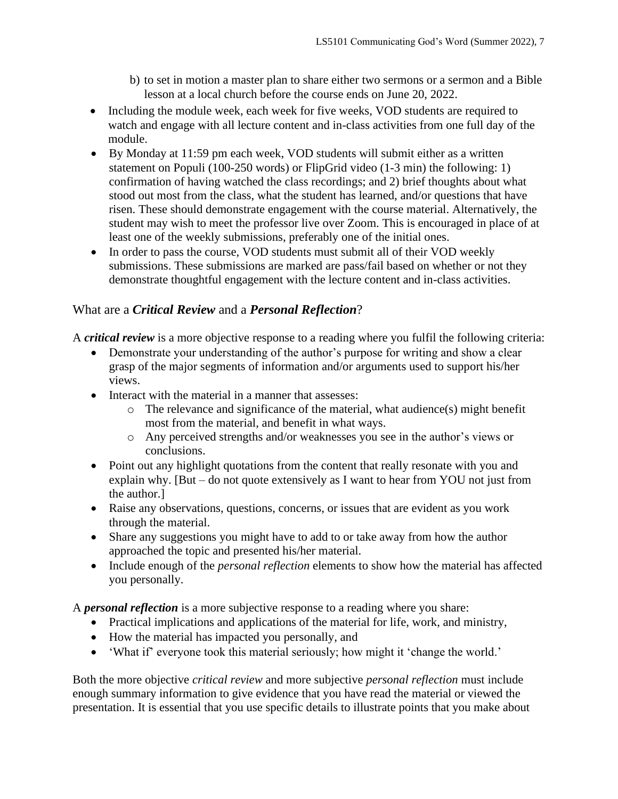- b) to set in motion a master plan to share either two sermons or a sermon and a Bible lesson at a local church before the course ends on June 20, 2022.
- Including the module week, each week for five weeks, VOD students are required to watch and engage with all lecture content and in-class activities from one full day of the module.
- By Monday at 11:59 pm each week, VOD students will submit either as a written statement on Populi (100-250 words) or FlipGrid video (1-3 min) the following: 1) confirmation of having watched the class recordings; and 2) brief thoughts about what stood out most from the class, what the student has learned, and/or questions that have risen. These should demonstrate engagement with the course material. Alternatively, the student may wish to meet the professor live over Zoom. This is encouraged in place of at least one of the weekly submissions, preferably one of the initial ones.
- In order to pass the course, VOD students must submit all of their VOD weekly submissions. These submissions are marked are pass/fail based on whether or not they demonstrate thoughtful engagement with the lecture content and in-class activities.

# What are a *Critical Review* and a *Personal Reflection*?

A *critical review* is a more objective response to a reading where you fulfil the following criteria:

- Demonstrate your understanding of the author's purpose for writing and show a clear grasp of the major segments of information and/or arguments used to support his/her views.
- Interact with the material in a manner that assesses:
	- o The relevance and significance of the material, what audience(s) might benefit most from the material, and benefit in what ways.
	- o Any perceived strengths and/or weaknesses you see in the author's views or conclusions.
- Point out any highlight quotations from the content that really resonate with you and explain why. [But – do not quote extensively as I want to hear from YOU not just from the author.]
- Raise any observations, questions, concerns, or issues that are evident as you work through the material.
- Share any suggestions you might have to add to or take away from how the author approached the topic and presented his/her material.
- Include enough of the *personal reflection* elements to show how the material has affected you personally.

A *personal reflection* is a more subjective response to a reading where you share:

- Practical implications and applications of the material for life, work, and ministry,
- How the material has impacted you personally, and
- 'What if' everyone took this material seriously; how might it 'change the world.'

Both the more objective *critical review* and more subjective *personal reflection* must include enough summary information to give evidence that you have read the material or viewed the presentation. It is essential that you use specific details to illustrate points that you make about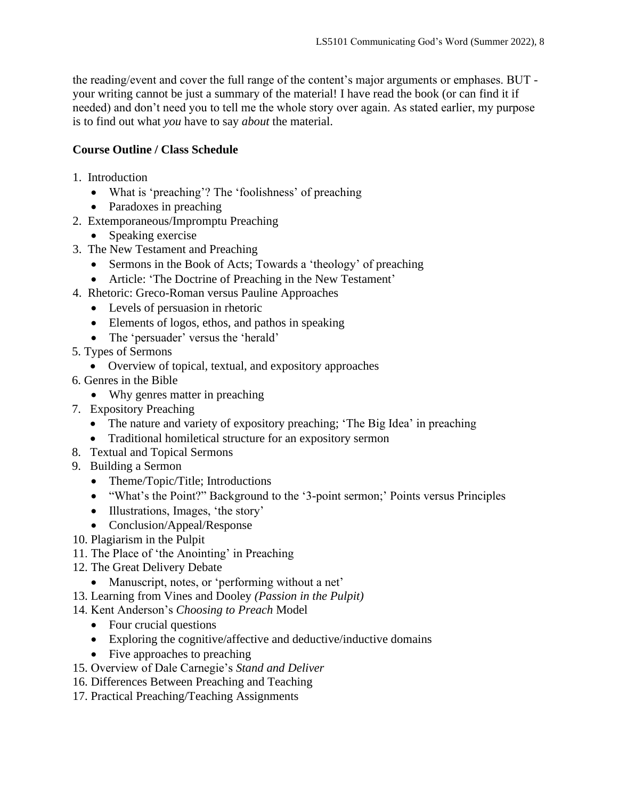the reading/event and cover the full range of the content's major arguments or emphases. BUT your writing cannot be just a summary of the material! I have read the book (or can find it if needed) and don't need you to tell me the whole story over again. As stated earlier, my purpose is to find out what *you* have to say *about* the material.

# **Course Outline / Class Schedule**

- 1. Introduction
	- What is 'preaching'? The 'foolishness' of preaching
	- Paradoxes in preaching
- 2. Extemporaneous/Impromptu Preaching
	- Speaking exercise
- 3. The New Testament and Preaching
	- Sermons in the Book of Acts; Towards a 'theology' of preaching
	- Article: 'The Doctrine of Preaching in the New Testament'
- 4. Rhetoric: Greco-Roman versus Pauline Approaches
	- Levels of persuasion in rhetoric
	- Elements of logos, ethos, and pathos in speaking
	- The 'persuader' versus the 'herald'
- 5. Types of Sermons
	- Overview of topical, textual, and expository approaches
- 6. Genres in the Bible
	- Why genres matter in preaching
- 7. Expository Preaching
	- The nature and variety of expository preaching; 'The Big Idea' in preaching
	- Traditional homiletical structure for an expository sermon
- 8. Textual and Topical Sermons
- 9. Building a Sermon
	- Theme/Topic/Title; Introductions
	- "What's the Point?" Background to the '3-point sermon;' Points versus Principles
	- Illustrations, Images, 'the story'
	- Conclusion/Appeal/Response
- 10. Plagiarism in the Pulpit
- 11. The Place of 'the Anointing' in Preaching
- 12. The Great Delivery Debate
	- Manuscript, notes, or 'performing without a net'
- 13. Learning from Vines and Dooley *(Passion in the Pulpit)*
- 14. Kent Anderson's *Choosing to Preach* Model
	- Four crucial questions
	- Exploring the cognitive/affective and deductive/inductive domains
	- Five approaches to preaching
- 15. Overview of Dale Carnegie's *Stand and Deliver*
- 16. Differences Between Preaching and Teaching
- 17. Practical Preaching/Teaching Assignments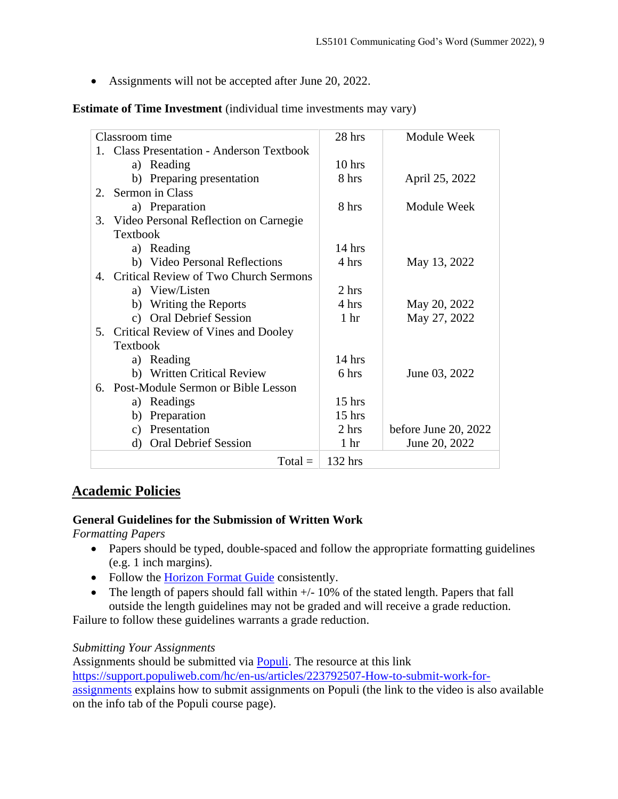• Assignments will not be accepted after June 20, 2022.

### **Estimate of Time Investment** (individual time investments may vary)

| Classroom time |                                                | 28 hrs          | <b>Module Week</b>     |
|----------------|------------------------------------------------|-----------------|------------------------|
|                | 1. Class Presentation - Anderson Textbook      |                 |                        |
|                | Reading<br>a)                                  | $10$ hrs        |                        |
|                | b) Preparing presentation                      | 8 hrs           | April 25, 2022         |
| $2^{\circ}$    | Sermon in Class                                |                 |                        |
|                | a) Preparation                                 | 8 hrs           | Module Week            |
| 3.             | Video Personal Reflection on Carnegie          |                 |                        |
|                | Textbook                                       |                 |                        |
|                | a) Reading                                     | $14$ hrs        |                        |
|                | b) Video Personal Reflections                  | 4 hrs           | May 13, 2022           |
|                | 4. Critical Review of Two Church Sermons       |                 |                        |
|                | a) View/Listen                                 | 2 hrs           |                        |
|                | Writing the Reports<br>b)                      | 4 hrs           | May 20, 2022           |
|                | <b>Oral Debrief Session</b><br>$\mathcal{C}$ ) | 1 <sub>hr</sub> | May 27, 2022           |
| 5.             | <b>Critical Review of Vines and Dooley</b>     |                 |                        |
|                | Textbook                                       |                 |                        |
|                | a) Reading                                     | $14$ hrs        |                        |
|                | b) Written Critical Review                     | 6 hrs           | June 03, 2022          |
|                | 6. Post-Module Sermon or Bible Lesson          |                 |                        |
|                | Readings<br>a)                                 | $15$ hrs        |                        |
|                | Preparation<br>b)                              | $15$ hrs        |                        |
|                | Presentation<br>c)                             | 2 hrs           | before June 20, $2022$ |
|                | <b>Oral Debrief Session</b><br>d)              | 1 <sub>hr</sub> | June 20, 2022          |
|                | $Total =$                                      | 132 hrs         |                        |
|                |                                                |                 |                        |

# **Academic Policies**

### **General Guidelines for the Submission of Written Work**

*Formatting Papers* 

- Papers should be typed, double-spaced and follow the appropriate formatting guidelines (e.g. 1 inch margins).
- Follow the [Horizon Format Guide](https://www.horizon.edu/students/resources/) consistently.
- The length of papers should fall within  $+/-10\%$  of the stated length. Papers that fall outside the length guidelines may not be graded and will receive a grade reduction.

Failure to follow these guidelines warrants a grade reduction.

### *Submitting Your Assignments*

Assignments should be submitted via [Populi.](https://horizon.populiweb.com/) The resource at this link

[https://support.populiweb.com/hc/en-us/articles/223792507-How-to-submit-work-for-](https://support.populiweb.com/hc/en-us/articles/223792507-How-to-submit-work-for-assignments)

[assignments](https://support.populiweb.com/hc/en-us/articles/223792507-How-to-submit-work-for-assignments) explains how to submit assignments on Populi (the link to the video is also available on the info tab of the Populi course page).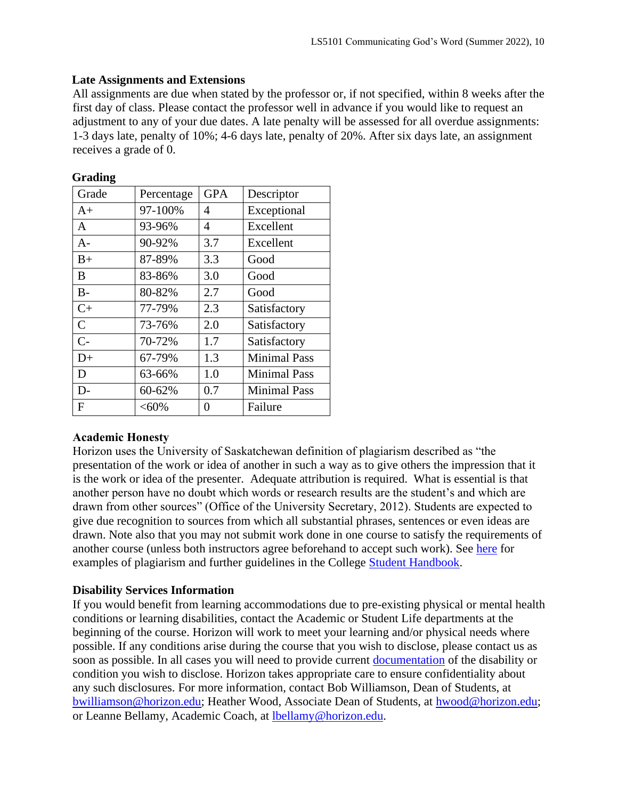### **Late Assignments and Extensions**

All assignments are due when stated by the professor or, if not specified, within 8 weeks after the first day of class. Please contact the professor well in advance if you would like to request an adjustment to any of your due dates. A late penalty will be assessed for all overdue assignments: 1-3 days late, penalty of 10%; 4-6 days late, penalty of 20%. After six days late, an assignment receives a grade of 0.

| Grade        | Percentage | <b>GPA</b> | Descriptor          |
|--------------|------------|------------|---------------------|
| $A+$         | 97-100%    | 4          | Exceptional         |
| A            | 93-96%     | 4          | Excellent           |
| $A-$         | 90-92%     | 3.7        | Excellent           |
| $B+$         | 87-89%     | 3.3        | Good                |
| B            | 83-86%     | 3.0        | Good                |
| $B -$        | 80-82%     | 2.7        | Good                |
| $C+$         | 77-79%     | 2.3        | Satisfactory        |
| $\mathbf C$  | 73-76%     | 2.0        | Satisfactory        |
| $C-$         | 70-72%     | 1.7        | Satisfactory        |
| $D+$         | 67-79%     | 1.3        | <b>Minimal Pass</b> |
| D            | 63-66%     | 1.0        | <b>Minimal Pass</b> |
| $D-$         | 60-62%     | 0.7        | <b>Minimal Pass</b> |
| $\mathbf{F}$ | $<,60\%$   | 0          | Failure             |

#### **Grading**

### **Academic Honesty**

Horizon uses the University of Saskatchewan definition of plagiarism described as "the presentation of the work or idea of another in such a way as to give others the impression that it is the work or idea of the presenter. Adequate attribution is required. What is essential is that another person have no doubt which words or research results are the student's and which are drawn from other sources" (Office of the University Secretary, 2012). Students are expected to give due recognition to sources from which all substantial phrases, sentences or even ideas are drawn. Note also that you may not submit work done in one course to satisfy the requirements of another course (unless both instructors agree beforehand to accept such work). See [here](http://www.turnitin.com/assets/en_us/media/plagiarism_spectrum.php) for examples of plagiarism and further guidelines in the College [Student Handbook.](https://www.horizon.edu/students/resources/)

### **Disability Services Information**

If you would benefit from learning accommodations due to pre-existing physical or mental health conditions or learning disabilities, contact the Academic or Student Life departments at the beginning of the course. Horizon will work to meet your learning and/or physical needs where possible. If any conditions arise during the course that you wish to disclose, please contact us as soon as possible. In all cases you will need to provide current [documentation](https://www.horizon.edu/students/support/) of the disability or condition you wish to disclose. Horizon takes appropriate care to ensure confidentiality about any such disclosures. For more information, contact Bob Williamson, Dean of Students, at [bwilliamson@horizon.edu;](mailto:bwilliamson@horizon.edu) Heather Wood, Associate Dean of Students, at [hwood@horizon.edu;](mailto:hwood@horizon.edu) or Leanne Bellamy, Academic Coach, at [lbellamy@horizon.edu.](mailto:lbellamy@horizon.edu)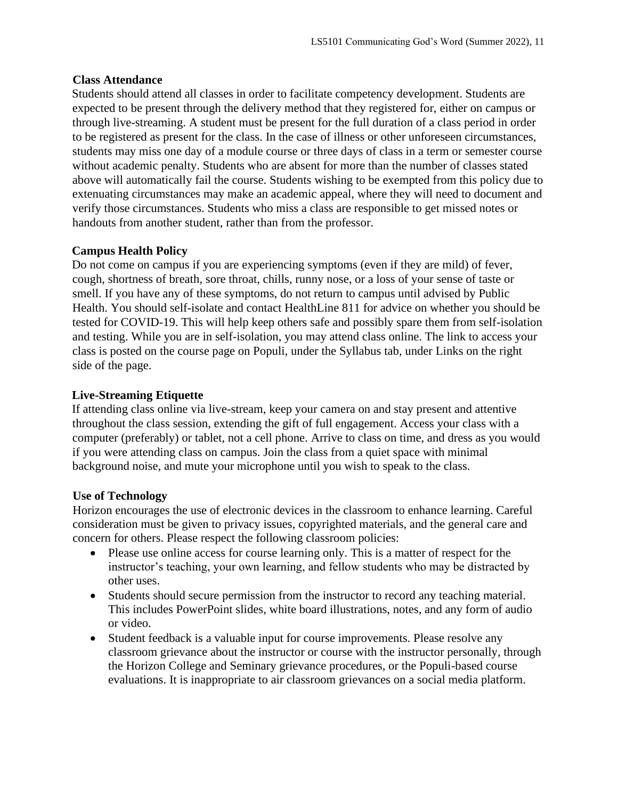### **Class Attendance**

Students should attend all classes in order to facilitate competency development. Students are expected to be present through the delivery method that they registered for, either on campus or through live-streaming. A student must be present for the full duration of a class period in order to be registered as present for the class. In the case of illness or other unforeseen circumstances, students may miss one day of a module course or three days of class in a term or semester course without academic penalty. Students who are absent for more than the number of classes stated above will automatically fail the course. Students wishing to be exempted from this policy due to extenuating circumstances may make an academic appeal, where they will need to document and verify those circumstances. Students who miss a class are responsible to get missed notes or handouts from another student, rather than from the professor.

### **Campus Health Policy**

Do not come on campus if you are experiencing symptoms (even if they are mild) of fever, cough, shortness of breath, sore throat, chills, runny nose, or a loss of your sense of taste or smell. If you have any of these symptoms, do not return to campus until advised by Public Health. You should self-isolate and contact HealthLine 811 for advice on whether you should be tested for COVID-19. This will help keep others safe and possibly spare them from self-isolation and testing. While you are in self-isolation, you may attend class online. The link to access your class is posted on the course page on Populi, under the Syllabus tab, under Links on the right side of the page.

### **Live-Streaming Etiquette**

If attending class online via live-stream, keep your camera on and stay present and attentive throughout the class session, extending the gift of full engagement. Access your class with a computer (preferably) or tablet, not a cell phone. Arrive to class on time, and dress as you would if you were attending class on campus. Join the class from a quiet space with minimal background noise, and mute your microphone until you wish to speak to the class.

# **Use of Technology**

Horizon encourages the use of electronic devices in the classroom to enhance learning. Careful consideration must be given to privacy issues, copyrighted materials, and the general care and concern for others. Please respect the following classroom policies:

- Please use online access for course learning only. This is a matter of respect for the instructor's teaching, your own learning, and fellow students who may be distracted by other uses.
- Students should secure permission from the instructor to record any teaching material. This includes PowerPoint slides, white board illustrations, notes, and any form of audio or video.
- Student feedback is a valuable input for course improvements. Please resolve any classroom grievance about the instructor or course with the instructor personally, through the Horizon College and Seminary grievance procedures, or the Populi-based course evaluations. It is inappropriate to air classroom grievances on a social media platform.